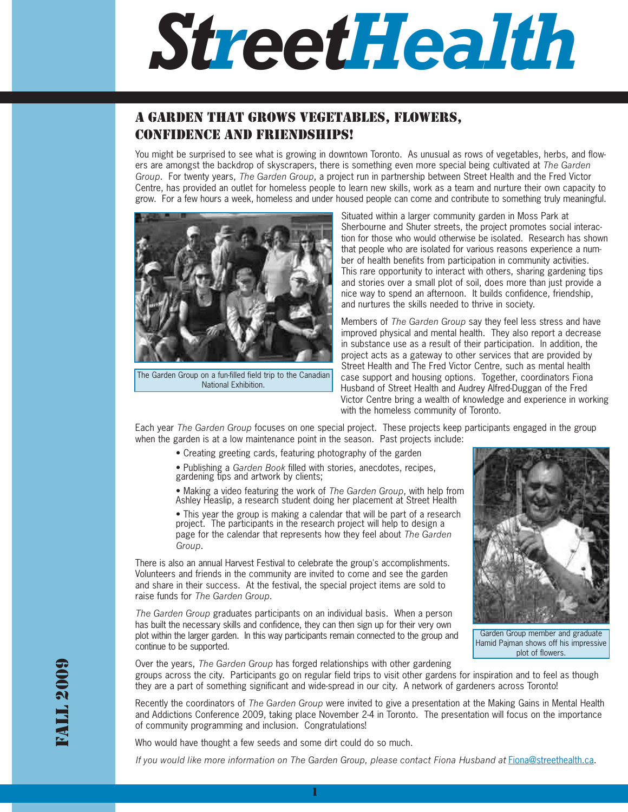# *StreetHealth*

## A GARDEN THAT GROWS VEGETABLES, FLOWERS, CONFIDENCE AND FRIENDSHIPS!

You might be surprised to see what is growing in downtown Toronto. As unusual as rows of vegetables, herbs, and flowers are amongst the backdrop of skyscrapers, there is something even more special being cultivated at *The Garden Group*. For twenty years, *The Garden Group*, a project run in partnership between Street Health and the Fred Victor Centre, has provided an outlet for homeless people to learn new skills, work as a team and nurture their own capacity to grow. For a few hours a week, homeless and under housed people can come and contribute to something truly meaningful.



The Garden Group on a fun-filled field trip to the Canadian National Exhibition.

Situated within a larger community garden in Moss Park at Sherbourne and Shuter streets, the project promotes social interaction for those who would otherwise be isolated. Research has shown that people who are isolated for various reasons experience a number of health benefits from participation in community activities. This rare opportunity to interact with others, sharing gardening tips and stories over a small plot of soil, does more than just provide a nice way to spend an afternoon. It builds confidence, friendship, and nurtures the skills needed to thrive in society.

Members of *The Garden Group* say they feel less stress and have improved physical and mental health. They also report a decrease in substance use as a result of their participation. In addition, the project acts as a gateway to other services that are provided by Street Health and The Fred Victor Centre, such as mental health case support and housing options. Together, coordinators Fiona Husband of Street Health and Audrey Alfred-Duggan of the Fred Victor Centre bring a wealth of knowledge and experience in working with the homeless community of Toronto.

Each year *The Garden Group* focuses on one special project. These projects keep participants engaged in the group when the garden is at a low maintenance point in the season. Past projects include:

- Creating greeting cards, featuring photography of the garden
- Publishing a *Garden Book* filled with stories, anecdotes, recipes, gardening tips and artwork by clients;
- Making a video featuring the work of *The Garden Group*, with help from Ashley Heaslip, a research student doing her placement at Street Health

• This year the group is making a calendar that will be part of a research project. The participants in the research project will help to design a page for the calendar that represents how they feel about *The Garden Group*.

There is also an annual Harvest Festival to celebrate the group's accomplishments. Volunteers and friends in the community are invited to come and see the garden and share in their success. At the festival, the special project items are sold to raise funds for *The Garden Group*.

*The Garden Group* graduates participants on an individual basis. When a person has built the necessary skills and confidence, they can then sign up for their very own plot within the larger garden. In this way participants remain connected to the group and continue to be supported.



Garden Group member and graduate Hamid Pajman shows off his impressive plot of flowers.

Over the years, *The Garden Group* has forged relationships with other gardening groups across the city. Participants go on regular field trips to visit other gardens for inspiration and to feel as though they are a part of something significant and wide-spread in our city. A network of gardeners across Toronto!

Recently the coordinators of *The Garden Group* were invited to give a presentation at the Making Gains in Mental Health and Addictions Conference 2009, taking place November 2-4 in Toronto. The presentation will focus on the importance of community programming and inclusion. Congratulations!

Who would have thought a few seeds and some dirt could do so much.

*If you would like more information on The Garden Group, please contact Fiona Husband at Fiona@streethealth.ca.*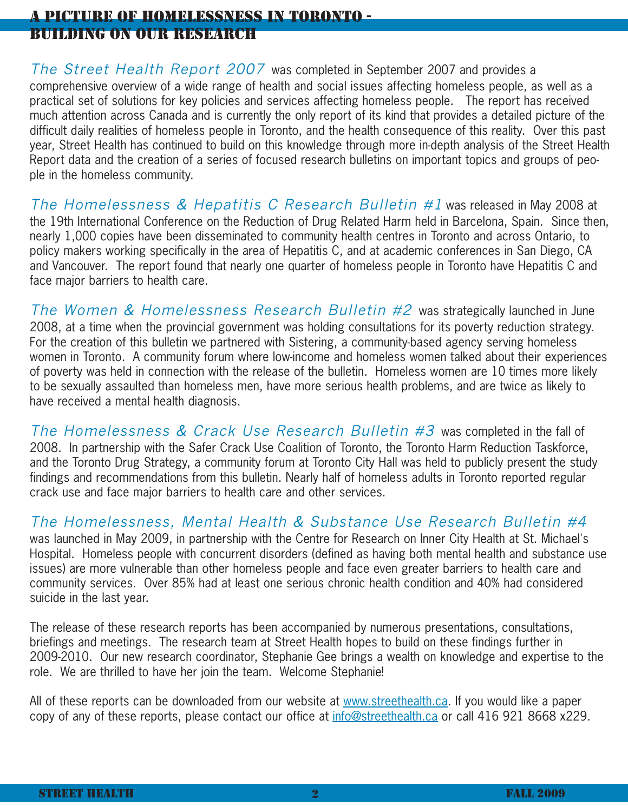# A PICTURE OF HOMELESSNESS IN TORONTO - BUILDING ON OUR RESEARCH

The Street Health Report 2007 was completed in September 2007 and provides a comprehensive overview of a wide range of health and social issues affecting homeless people, as well as a practical set of solutions for key policies and services affecting homeless people. The report has received much attention across Canada and is currently the only report of its kind that provides a detailed picture of the difficult daily realities of homeless people in Toronto, and the health consequence of this reality. Over this past year, Street Health has continued to build on this knowledge through more in-depth analysis of the Street Health Report data and the creation of a series of focused research bulletins on important topics and groups of people in the homeless community.

The Homelessness & Hepatitis C Research Bulletin #1 was released in May 2008 at the 19th International Conference on the Reduction of Drug Related Harm held in Barcelona, Spain. Since then, nearly 1,000 copies have been disseminated to community health centres in Toronto and across Ontario, to policy makers working specifically in the area of Hepatitis C, and at academic conferences in San Diego, CA and Vancouver. The report found that nearly one quarter of homeless people in Toronto have Hepatitis C and face major barriers to health care.

The Women & Homelessness Research Bulletin #2 was strategically launched in June 2008, at a time when the provincial government was holding consultations for its poverty reduction strategy. For the creation of this bulletin we partnered with Sistering, a community-based agency serving homeless women in Toronto. A community forum where low-income and homeless women talked about their experiences of poverty was held in connection with the release of the bulletin. Homeless women are 10 times more likely to be sexually assaulted than homeless men, have more serious health problems, and are twice as likely to have received a mental health diagnosis.

The Homelessness & Crack Use Research Bulletin  $#3$  was completed in the fall of 2008. In partnership with the Safer Crack Use Coalition of Toronto, the Toronto Harm Reduction Taskforce, and the Toronto Drug Strategy, a community forum at Toronto City Hall was held to publicly present the study findings and recommendations from this bulletin. Nearly half of homeless adults in Toronto reported regular crack use and face major barriers to health care and other services.

The Homelessness, Mental Health & Substance Use Research Bulletin #4

was launched in May 2009, in partnership with the Centre for Research on Inner City Health at St. Michael's Hospital. Homeless people with concurrent disorders (defined as having both mental health and substance use issues) are more vulnerable than other homeless people and face even greater barriers to health care and community services. Over 85% had at least one serious chronic health condition and 40% had considered suicide in the last year.

The release of these research reports has been accompanied by numerous presentations, consultations, briefings and meetings. The research team at Street Health hopes to build on these findings further in 2009-2010. Our new research coordinator, Stephanie Gee brings a wealth on knowledge and expertise to the role. We are thrilled to have her join the team. Welcome Stephanie!

All of these reports can be downloaded from our website at www.streethealth.ca. If you would like a paper copy of any of these reports, please contact our office at info@streethealth.ca or call 416 921 8668 x229.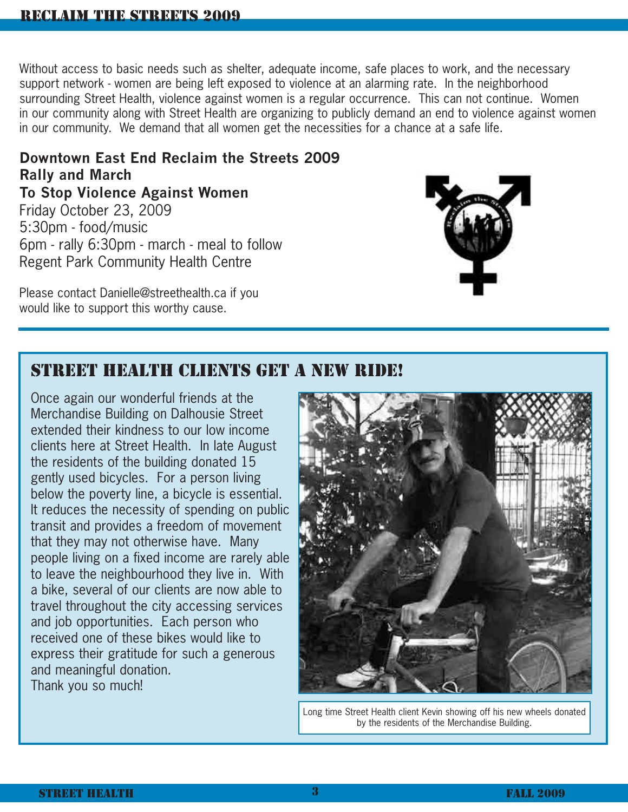Without access to basic needs such as shelter, adequate income, safe places to work, and the necessary support network - women are being left exposed to violence at an alarming rate. In the neighborhood surrounding Street Health, violence against women is a regular occurrence. This can not continue. Women in our community along with Street Health are organizing to publicly demand an end to violence against women in our community. We demand that all women get the necessities for a chance at a safe life.

# **Downtown East End Reclaim the Streets 2009 Rally and March To Stop Violence Against Women**

Friday October 23, 2009 5:30pm - food/music 6pm - rally 6:30pm - march - meal to follow Regent Park Community Health Centre

Please contact Danielle@streethealth.ca if you would like to support this worthy cause.



# STREET HEALTH CLIENTS GET A NEW RIDE!

Once again our wonderful friends at the Merchandise Building on Dalhousie Street extended their kindness to our low income clients here at Street Health. In late August the residents of the building donated 15 gently used bicycles. For a person living below the poverty line, a bicycle is essential. It reduces the necessity of spending on public transit and provides a freedom of movement that they may not otherwise have. Many people living on a fixed income are rarely able to leave the neighbourhood they live in. With a bike, several of our clients are now able to travel throughout the city accessing services and job opportunities. Each person who received one of these bikes would like to express their gratitude for such a generous and meaningful donation. Thank you so much!



Long time Street Health client Kevin showing off his new wheels donated by the residents of the Merchandise Building.